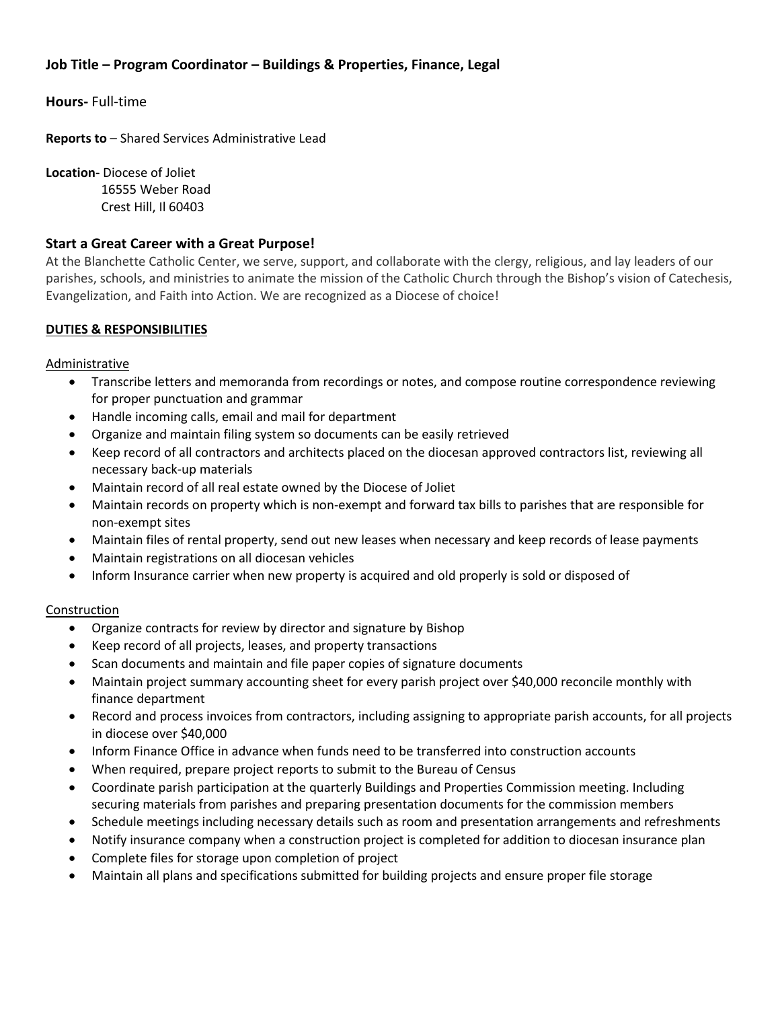# **Job Title – Program Coordinator – Buildings & Properties, Finance, Legal**

**Hours-** Full-time

**Reports to** – Shared Services Administrative Lead

**Location-** Diocese of Joliet 16555 Weber Road Crest Hill, Il 60403

# **Start a Great Career with a Great Purpose!**

At the Blanchette Catholic Center, we serve, support, and collaborate with the clergy, religious, and lay leaders of our parishes, schools, and ministries to animate the mission of the Catholic Church through the Bishop's vision of Catechesis, Evangelization, and Faith into Action. We are recognized as a Diocese of choice!

# **DUTIES & RESPONSIBILITIES**

Administrative

- Transcribe letters and memoranda from recordings or notes, and compose routine correspondence reviewing for proper punctuation and grammar
- Handle incoming calls, email and mail for department
- Organize and maintain filing system so documents can be easily retrieved
- Keep record of all contractors and architects placed on the diocesan approved contractors list, reviewing all necessary back-up materials
- Maintain record of all real estate owned by the Diocese of Joliet
- Maintain records on property which is non-exempt and forward tax bills to parishes that are responsible for non-exempt sites
- Maintain files of rental property, send out new leases when necessary and keep records of lease payments
- Maintain registrations on all diocesan vehicles
- Inform Insurance carrier when new property is acquired and old properly is sold or disposed of

#### Construction

- Organize contracts for review by director and signature by Bishop
- Keep record of all projects, leases, and property transactions
- Scan documents and maintain and file paper copies of signature documents
- Maintain project summary accounting sheet for every parish project over \$40,000 reconcile monthly with finance department
- Record and process invoices from contractors, including assigning to appropriate parish accounts, for all projects in diocese over \$40,000
- Inform Finance Office in advance when funds need to be transferred into construction accounts
- When required, prepare project reports to submit to the Bureau of Census
- Coordinate parish participation at the quarterly Buildings and Properties Commission meeting. Including securing materials from parishes and preparing presentation documents for the commission members
- Schedule meetings including necessary details such as room and presentation arrangements and refreshments
- Notify insurance company when a construction project is completed for addition to diocesan insurance plan
- Complete files for storage upon completion of project
- Maintain all plans and specifications submitted for building projects and ensure proper file storage